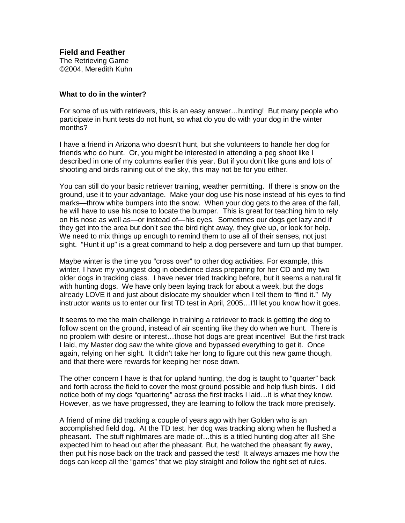**Field and Feather** The Retrieving Game ©2004, Meredith Kuhn

## **What to do in the winter?**

For some of us with retrievers, this is an easy answer…hunting! But many people who participate in hunt tests do not hunt, so what do you do with your dog in the winter months?

I have a friend in Arizona who doesn't hunt, but she volunteers to handle her dog for friends who do hunt. Or, you might be interested in attending a peg shoot like I described in one of my columns earlier this year. But if you don't like guns and lots of shooting and birds raining out of the sky, this may not be for you either.

You can still do your basic retriever training, weather permitting. If there is snow on the ground, use it to your advantage. Make your dog use his nose instead of his eyes to find marks—throw white bumpers into the snow. When your dog gets to the area of the fall, he will have to use his nose to locate the bumper. This is great for teaching him to rely on his nose as well as—or instead of—his eyes. Sometimes our dogs get lazy and if they get into the area but don't see the bird right away, they give up, or look for help. We need to mix things up enough to remind them to use all of their senses, not just sight. "Hunt it up" is a great command to help a dog persevere and turn up that bumper.

Maybe winter is the time you "cross over" to other dog activities. For example, this winter, I have my youngest dog in obedience class preparing for her CD and my two older dogs in tracking class. I have never tried tracking before, but it seems a natural fit with hunting dogs. We have only been laying track for about a week, but the dogs already LOVE it and just about dislocate my shoulder when I tell them to "find it." My instructor wants us to enter our first TD test in April, 2005…I'll let you know how it goes.

It seems to me the main challenge in training a retriever to track is getting the dog to follow scent on the ground, instead of air scenting like they do when we hunt. There is no problem with desire or interest…those hot dogs are great incentive! But the first track I laid, my Master dog saw the white glove and bypassed everything to get it. Once again, relying on her sight. It didn't take her long to figure out this new game though, and that there were rewards for keeping her nose down.

The other concern I have is that for upland hunting, the dog is taught to "quarter" back and forth across the field to cover the most ground possible and help flush birds. I did notice both of my dogs "quartering" across the first tracks I laid…it is what they know. However, as we have progressed, they are learning to follow the track more precisely.

A friend of mine did tracking a couple of years ago with her Golden who is an accomplished field dog. At the TD test, her dog was tracking along when he flushed a pheasant. The stuff nightmares are made of…this is a titled hunting dog after all! She expected him to head out after the pheasant. But, he watched the pheasant fly away, then put his nose back on the track and passed the test! It always amazes me how the dogs can keep all the "games" that we play straight and follow the right set of rules.